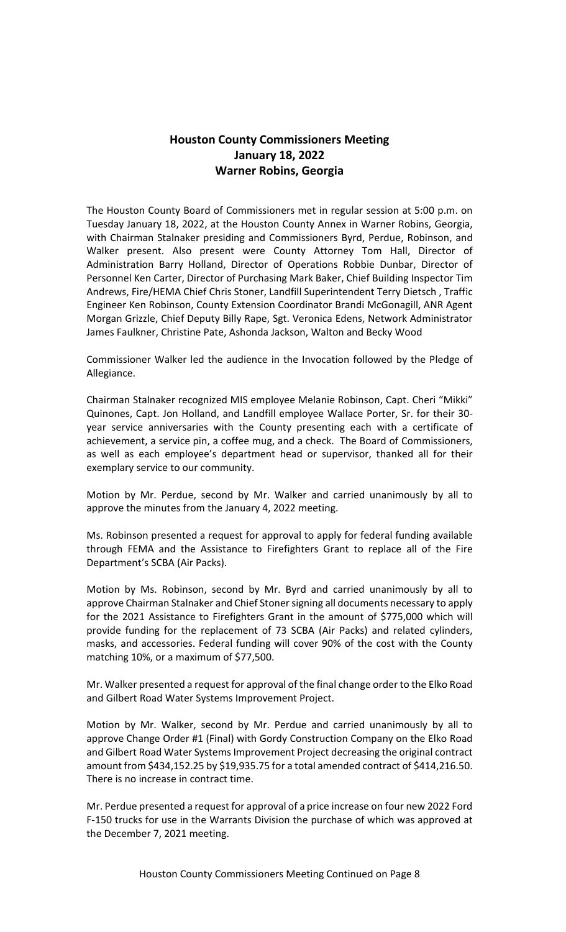## **Houston County Commissioners Meeting January 18, 2022 Warner Robins, Georgia**

The Houston County Board of Commissioners met in regular session at 5:00 p.m. on Tuesday January 18, 2022, at the Houston County Annex in Warner Robins, Georgia, with Chairman Stalnaker presiding and Commissioners Byrd, Perdue, Robinson, and Walker present. Also present were County Attorney Tom Hall, Director of Administration Barry Holland, Director of Operations Robbie Dunbar, Director of Personnel Ken Carter, Director of Purchasing Mark Baker, Chief Building Inspector Tim Andrews, Fire/HEMA Chief Chris Stoner, Landfill Superintendent Terry Dietsch , Traffic Engineer Ken Robinson, County Extension Coordinator Brandi McGonagill, ANR Agent Morgan Grizzle, Chief Deputy Billy Rape, Sgt. Veronica Edens, Network Administrator James Faulkner, Christine Pate, Ashonda Jackson, Walton and Becky Wood

Commissioner Walker led the audience in the Invocation followed by the Pledge of Allegiance.

Chairman Stalnaker recognized MIS employee Melanie Robinson, Capt. Cheri "Mikki" Quinones, Capt. Jon Holland, and Landfill employee Wallace Porter, Sr. for their 30 year service anniversaries with the County presenting each with a certificate of achievement, a service pin, a coffee mug, and a check. The Board of Commissioners, as well as each employee's department head or supervisor, thanked all for their exemplary service to our community.

Motion by Mr. Perdue, second by Mr. Walker and carried unanimously by all to approve the minutes from the January 4, 2022 meeting.

Ms. Robinson presented a request for approval to apply for federal funding available through FEMA and the Assistance to Firefighters Grant to replace all of the Fire Department's SCBA (Air Packs).

Motion by Ms. Robinson, second by Mr. Byrd and carried unanimously by all to approve Chairman Stalnaker and Chief Stoner signing all documents necessary to apply for the 2021 Assistance to Firefighters Grant in the amount of \$775,000 which will provide funding for the replacement of 73 SCBA (Air Packs) and related cylinders, masks, and accessories. Federal funding will cover 90% of the cost with the County matching 10%, or a maximum of \$77,500.

Mr. Walker presented a request for approval of the final change order to the Elko Road and Gilbert Road Water Systems Improvement Project.

Motion by Mr. Walker, second by Mr. Perdue and carried unanimously by all to approve Change Order #1 (Final) with Gordy Construction Company on the Elko Road and Gilbert Road Water Systems Improvement Project decreasing the original contract amount from \$434,152.25 by \$19,935.75 for a total amended contract of \$414,216.50. There is no increase in contract time.

Mr. Perdue presented a request for approval of a price increase on four new 2022 Ford F-150 trucks for use in the Warrants Division the purchase of which was approved at the December 7, 2021 meeting.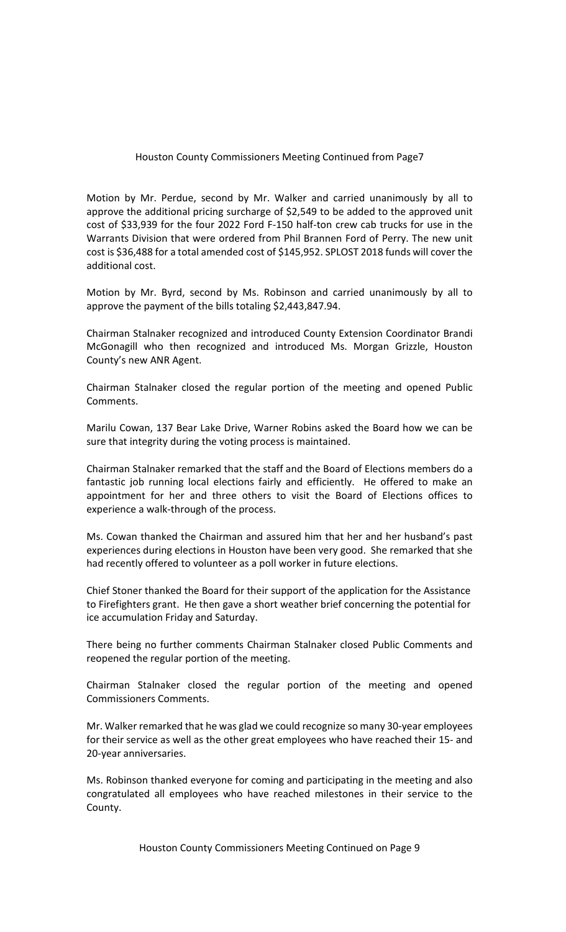## Houston County Commissioners Meeting Continued from Page7

Motion by Mr. Perdue, second by Mr. Walker and carried unanimously by all to approve the additional pricing surcharge of \$2,549 to be added to the approved unit cost of \$33,939 for the four 2022 Ford F-150 half-ton crew cab trucks for use in the Warrants Division that were ordered from Phil Brannen Ford of Perry. The new unit cost is \$36,488 for a total amended cost of \$145,952. SPLOST 2018 funds will cover the additional cost.

Motion by Mr. Byrd, second by Ms. Robinson and carried unanimously by all to approve the payment of the bills totaling \$2,443,847.94.

Chairman Stalnaker recognized and introduced County Extension Coordinator Brandi McGonagill who then recognized and introduced Ms. Morgan Grizzle, Houston County's new ANR Agent.

Chairman Stalnaker closed the regular portion of the meeting and opened Public Comments.

Marilu Cowan, 137 Bear Lake Drive, Warner Robins asked the Board how we can be sure that integrity during the voting process is maintained.

Chairman Stalnaker remarked that the staff and the Board of Elections members do a fantastic job running local elections fairly and efficiently. He offered to make an appointment for her and three others to visit the Board of Elections offices to experience a walk-through of the process.

Ms. Cowan thanked the Chairman and assured him that her and her husband's past experiences during elections in Houston have been very good. She remarked that she had recently offered to volunteer as a poll worker in future elections.

Chief Stoner thanked the Board for their support of the application for the Assistance to Firefighters grant. He then gave a short weather brief concerning the potential for ice accumulation Friday and Saturday.

There being no further comments Chairman Stalnaker closed Public Comments and reopened the regular portion of the meeting.

Chairman Stalnaker closed the regular portion of the meeting and opened Commissioners Comments.

Mr. Walker remarked that he was glad we could recognize so many 30-year employees for their service as well as the other great employees who have reached their 15- and 20-year anniversaries.

Ms. Robinson thanked everyone for coming and participating in the meeting and also congratulated all employees who have reached milestones in their service to the County.

Houston County Commissioners Meeting Continued on Page 9